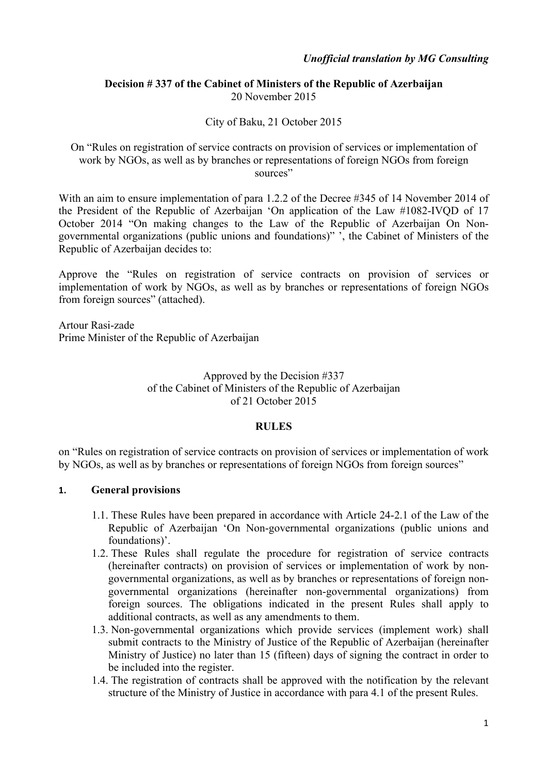### **Decision # 337 of the Cabinet of Ministers of the Republic of Azerbaijan** 20 November 2015

### City of Baku, 21 October 2015

On "Rules on registration of service contracts on provision of services or implementation of work by NGOs, as well as by branches or representations of foreign NGOs from foreign sources"

With an aim to ensure implementation of para 1.2.2 of the Decree #345 of 14 November 2014 of the President of the Republic of Azerbaijan 'On application of the Law #1082-IVQD of 17 October 2014 "On making changes to the Law of the Republic of Azerbaijan On Nongovernmental organizations (public unions and foundations)" ', the Cabinet of Ministers of the Republic of Azerbaijan decides to:

Approve the "Rules on registration of service contracts on provision of services or implementation of work by NGOs, as well as by branches or representations of foreign NGOs from foreign sources" (attached).

Artour Rasi-zade Prime Minister of the Republic of Azerbaijan

#### Approved by the Decision #337 of the Cabinet of Ministers of the Republic of Azerbaijan of 21 October 2015

### **RULES**

on "Rules on registration of service contracts on provision of services or implementation of work by NGOs, as well as by branches or representations of foreign NGOs from foreign sources"

### **1. General provisions**

- 1.1. These Rules have been prepared in accordance with Article 24-2.1 of the Law of the Republic of Azerbaijan 'On Non-governmental organizations (public unions and foundations)'.
- 1.2. These Rules shall regulate the procedure for registration of service contracts (hereinafter contracts) on provision of services or implementation of work by nongovernmental organizations, as well as by branches or representations of foreign nongovernmental organizations (hereinafter non-governmental organizations) from foreign sources. The obligations indicated in the present Rules shall apply to additional contracts, as well as any amendments to them.
- 1.3. Non-governmental organizations which provide services (implement work) shall submit contracts to the Ministry of Justice of the Republic of Azerbaijan (hereinafter Ministry of Justice) no later than 15 (fifteen) days of signing the contract in order to be included into the register.
- 1.4. The registration of contracts shall be approved with the notification by the relevant structure of the Ministry of Justice in accordance with para 4.1 of the present Rules.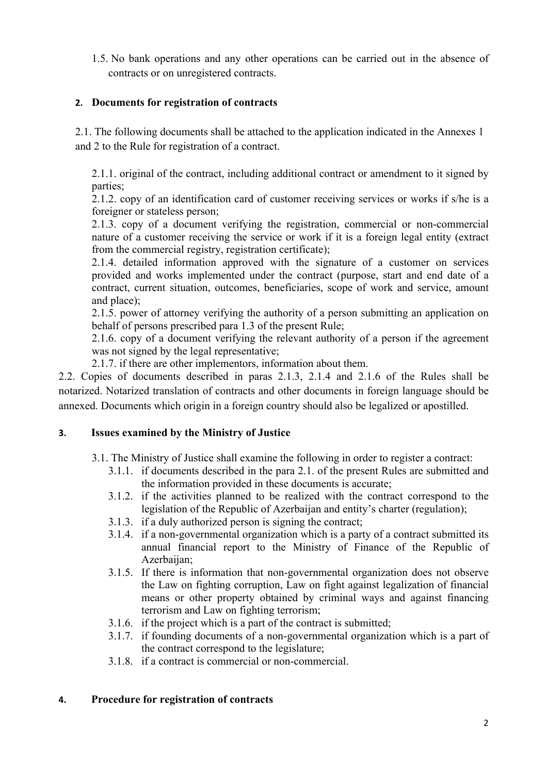1.5. No bank operations and any other operations can be carried out in the absence of contracts or on unregistered contracts.

# **2. Documents for registration of contracts**

2.1. The following documents shall be attached to the application indicated in the Annexes 1 and 2 to the Rule for registration of a contract.

2.1.1. original of the contract, including additional contract or amendment to it signed by parties;

2.1.2. copy of an identification card of customer receiving services or works if s/he is a foreigner or stateless person;

2.1.3. copy of a document verifying the registration, commercial or non-commercial nature of a customer receiving the service or work if it is a foreign legal entity (extract from the commercial registry, registration certificate);

2.1.4. detailed information approved with the signature of a customer on services provided and works implemented under the contract (purpose, start and end date of a contract, current situation, outcomes, beneficiaries, scope of work and service, amount and place);

2.1.5. power of attorney verifying the authority of a person submitting an application on behalf of persons prescribed para 1.3 of the present Rule;

2.1.6. copy of a document verifying the relevant authority of a person if the agreement was not signed by the legal representative;

2.1.7. if there are other implementors, information about them.

2.2. Copies of documents described in paras 2.1.3, 2.1.4 and 2.1.6 of the Rules shall be notarized. Notarized translation of contracts and other documents in foreign language should be annexed. Documents which origin in a foreign country should also be legalized or apostilled.

# **3. Issues examined by the Ministry of Justice**

- 3.1. The Ministry of Justice shall examine the following in order to register a contract:
	- 3.1.1. if documents described in the para 2.1. of the present Rules are submitted and the information provided in these documents is accurate;
	- 3.1.2. if the activities planned to be realized with the contract correspond to the legislation of the Republic of Azerbaijan and entity's charter (regulation);
	- 3.1.3. if a duly authorized person is signing the contract;
	- 3.1.4. if a non-governmental organization which is a party of a contract submitted its annual financial report to the Ministry of Finance of the Republic of Azerbaijan:
	- 3.1.5. If there is information that non-governmental organization does not observe the Law on fighting corruption, Law on fight against legalization of financial means or other property obtained by criminal ways and against financing terrorism and Law on fighting terrorism;
	- 3.1.6. if the project which is a part of the contract is submitted;
	- 3.1.7. if founding documents of a non-governmental organization which is a part of the contract correspond to the legislature;
	- 3.1.8. if a contract is commercial or non-commercial.

# **4. Procedure for registration of contracts**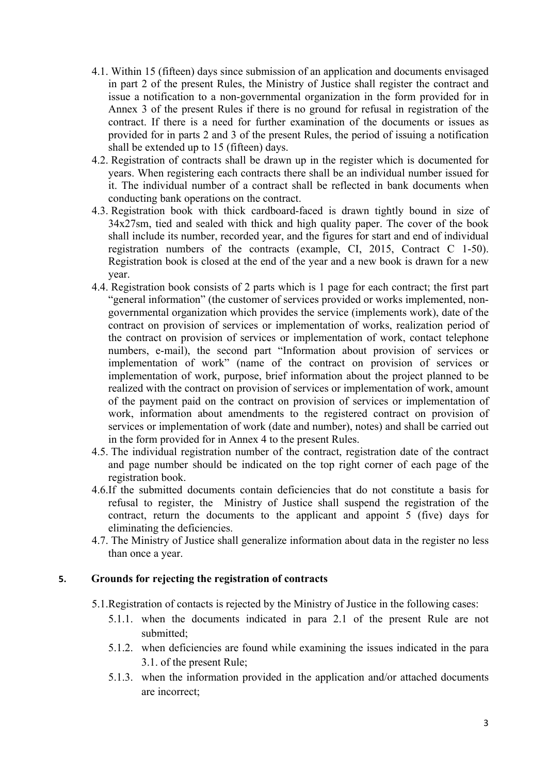- 4.1. Within 15 (fifteen) days since submission of an application and documents envisaged in part 2 of the present Rules, the Ministry of Justice shall register the contract and issue a notification to a non-governmental organization in the form provided for in Annex 3 of the present Rules if there is no ground for refusal in registration of the contract. If there is a need for further examination of the documents or issues as provided for in parts 2 and 3 of the present Rules, the period of issuing a notification shall be extended up to 15 (fifteen) days.
- 4.2. Registration of contracts shall be drawn up in the register which is documented for years. When registering each contracts there shall be an individual number issued for it. The individual number of a contract shall be reflected in bank documents when conducting bank operations on the contract.
- 4.3. Registration book with thick cardboard-faced is drawn tightly bound in size of 34x27sm, tied and sealed with thick and high quality paper. The cover of the book shall include its number, recorded year, and the figures for start and end of individual registration numbers of the contracts (example, CI, 2015, Contract C 1-50). Registration book is closed at the end of the year and a new book is drawn for a new year.
- 4.4. Registration book consists of 2 parts which is 1 page for each contract; the first part "general information" (the customer of services provided or works implemented, nongovernmental organization which provides the service (implements work), date of the contract on provision of services or implementation of works, realization period of the contract on provision of services or implementation of work, contact telephone numbers, e-mail), the second part "Information about provision of services or implementation of work" (name of the contract on provision of services or implementation of work, purpose, brief information about the project planned to be realized with the contract on provision of services or implementation of work, amount of the payment paid on the contract on provision of services or implementation of work, information about amendments to the registered contract on provision of services or implementation of work (date and number), notes) and shall be carried out in the form provided for in Annex 4 to the present Rules.
- 4.5. The individual registration number of the contract, registration date of the contract and page number should be indicated on the top right corner of each page of the registration book.
- 4.6.If the submitted documents contain deficiencies that do not constitute a basis for refusal to register, the Ministry of Justice shall suspend the registration of the contract, return the documents to the applicant and appoint 5 (five) days for eliminating the deficiencies.
- 4.7. The Ministry of Justice shall generalize information about data in the register no less than once a year.

### **5. Grounds for rejecting the registration of contracts**

- 5.1.Registration of contacts is rejected by the Ministry of Justice in the following cases:
	- 5.1.1. when the documents indicated in para 2.1 of the present Rule are not submitted;
	- 5.1.2. when deficiencies are found while examining the issues indicated in the para 3.1. of the present Rule;
	- 5.1.3. when the information provided in the application and/or attached documents are incorrect;